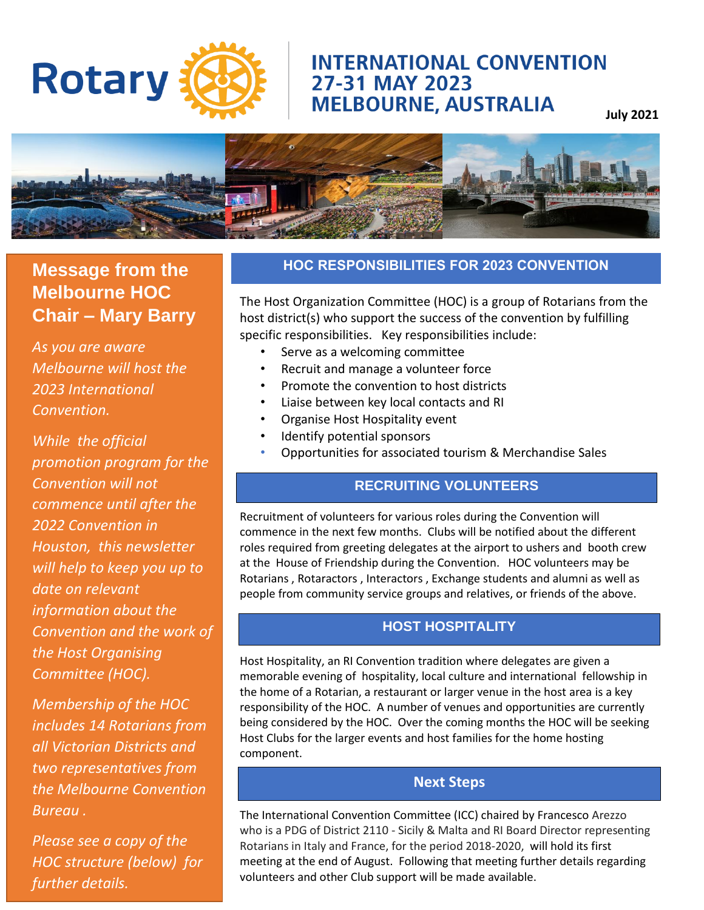## **INTERNATIONAL CONVENTION** 27-31 MAY 2023 **MELBOURNE, AUSTRALIA**

**July 2021**



## **Message from the Melbourne HOC Chair – Mary Barry**

**Rotary** 

*As you are aware Melbourne will host the 2023 International Convention.* 

*While the official promotion program for the Convention will not commence until after the 2022 Convention in Houston, this newsletter will help to keep you up to date on relevant information about the Convention and the work of the Host Organising Committee (HOC).*

*Membership of the HOC includes 14 Rotarians from all Victorian Districts and two representatives from the Melbourne Convention Bureau .*

*Please see a copy of the HOC structure (below) for further details.*

### **HOC RESPONSIBILITIES FOR 2023 CONVENTION**

The Host Organization Committee (HOC) is a group of Rotarians from the host district(s) who support the success of the convention by fulfilling specific responsibilities. Key responsibilities include:

- Serve as a welcoming committee
- Recruit and manage a volunteer force
- Promote the convention to host districts
- Liaise between key local contacts and RI
- Organise Host Hospitality event
- Identify potential sponsors

•

• Opportunities for associated tourism & Merchandise Sales

### **RECRUITING VOLUNTEERS**

Recruitment of volunteers for various roles during the Convention will commence in the next few months. Clubs will be notified about the different roles required from greeting delegates at the airport to ushers and booth crew at the House of Friendship during the Convention. HOC volunteers may be Rotarians , Rotaractors , Interactors , Exchange students and alumni as well as people from community service groups and relatives, or friends of the above.

#### **HOST HOSPITALITY**

Host Hospitality, an RI Convention tradition where delegates are given a memorable evening of hospitality, local culture and international fellowship in the home of a Rotarian, a restaurant or larger venue in the host area is a key responsibility of the HOC. A number of venues and opportunities are currently being considered by the HOC. Over the coming months the HOC will be seeking Host Clubs for the larger events and host families for the home hosting component.

### **Next Steps**

The International Convention Committee (ICC) chaired by Francesco Arezzo who is a PDG of District 2110 - Sicily & Malta and RI Board Director representing Rotarians in Italy and France, for the period 2018-2020, will hold its first meeting at the end of August. Following that meeting further details regarding volunteers and other Club support will be made available.